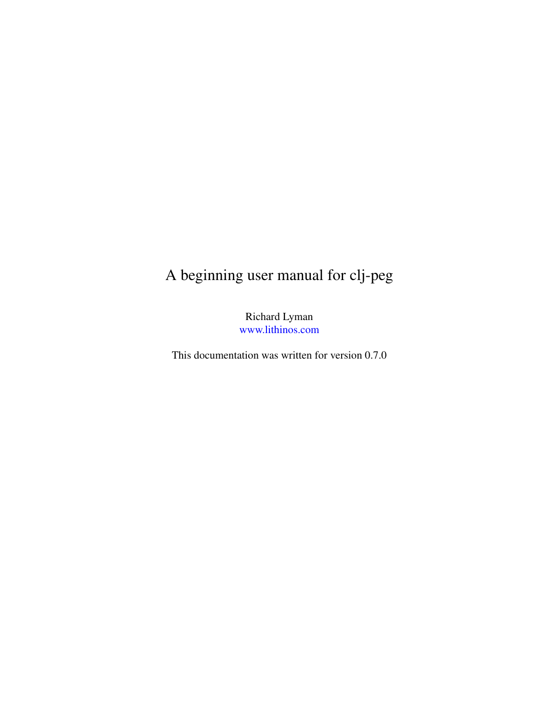# A beginning user manual for clj-peg

Richard Lyman [www.lithinos.com](http://www.lithinos.com)

This documentation was written for version 0.7.0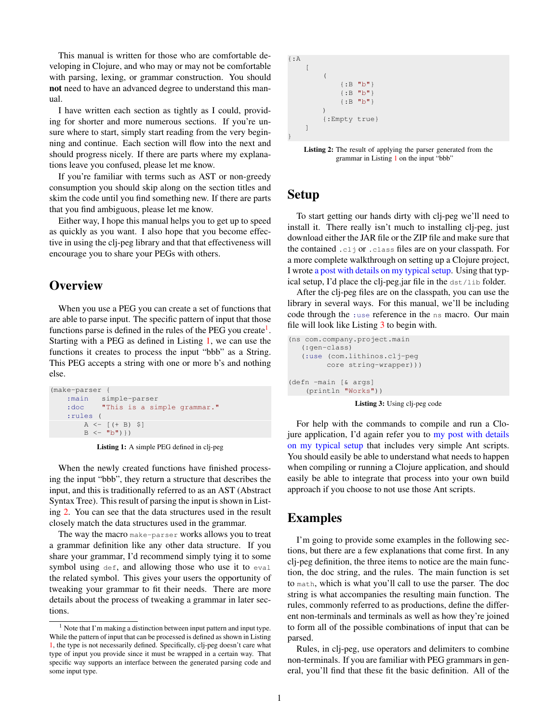This manual is written for those who are comfortable developing in Clojure, and who may or may not be comfortable with parsing, lexing, or grammar construction. You should not need to have an advanced degree to understand this manual.

I have written each section as tightly as I could, providing for shorter and more numerous sections. If you're unsure where to start, simply start reading from the very beginning and continue. Each section will flow into the next and should progress nicely. If there are parts where my explanations leave you confused, please let me know.

If you're familiar with terms such as AST or non-greedy consumption you should skip along on the section titles and skim the code until you find something new. If there are parts that you find ambiguous, please let me know.

Either way, I hope this manual helps you to get up to speed as quickly as you want. I also hope that you become effective in using the cli-peg library and that that effectiveness will encourage you to share your PEGs with others.

## **Overview**

When you use a PEG you can create a set of functions that are able to parse input. The specific pattern of input that those functions parse is defined in the rules of the PEG you create<sup>[1](#page-1-0)</sup>. Starting with a PEG as defined in Listing [1,](#page-1-1) we can use the functions it creates to process the input "bbb" as a String. This PEG accepts a string with one or more b's and nothing else.

```
(make-parser {
     :main simple-parser
     :doc "This is a simple grammar."
     :rules (
           A \leftarrow [ (+ B) \\mbox{\tt B} \mbox{\tt <} - \mbox{\tt "b"}) \mbox{\tt })
```
Listing 1: A simple PEG defined in clj-peg

When the newly created functions have finished processing the input "bbb", they return a structure that describes the input, and this is traditionally referred to as an AST (Abstract Syntax Tree). This result of parsing the input is shown in Listing [2.](#page-1-2) You can see that the data structures used in the result closely match the data structures used in the grammar.

The way the macro make-parser works allows you to treat a grammar definition like any other data structure. If you share your grammar, I'd recommend simply tying it to some symbol using def, and allowing those who use it to eval the related symbol. This gives your users the opportunity of tweaking your grammar to fit their needs. There are more details about the process of tweaking a grammar in later sections.

<span id="page-1-2"></span>

| $\{ : A$ |                                  |  |  |  |
|----------|----------------------------------|--|--|--|
|          |                                  |  |  |  |
|          |                                  |  |  |  |
|          | $\{\cdot \text{B} \text{ "b"}\}$ |  |  |  |
|          | $\{\cdot \text{B} \text{ "b"}\}$ |  |  |  |
|          | $\{B, B, W\}$                    |  |  |  |
|          |                                  |  |  |  |
|          | {:Empty true}                    |  |  |  |
|          |                                  |  |  |  |
|          |                                  |  |  |  |

Listing 2: The result of applying the parser generated from the grammar in Listing [1](#page-1-1) on the input "bbb"

### Setup

To start getting our hands dirty with clj-peg we'll need to install it. There really isn't much to installing clj-peg, just download either the JAR file or the ZIP file and make sure that the contained .clj or .class files are on your classpath. For a more complete walkthrough on setting up a Clojure project, I wrote [a post with details on my typical setup.](http://www.lithinos.com/Compiling-Clojure-Applications-and-Libraries-Round-2.html) Using that typical setup, I'd place the clj-peg.jar file in the dst/lib folder.

After the clj-peg files are on the classpath, you can use the library in several ways. For this manual, we'll be including code through the :use reference in the ns macro. Our main file will look like Listing [3](#page-1-3) to begin with.

```
(ns com.company.project.main
   (:gen-class)
   (:use (com.lithinos.clj-peg
         core string-wrapper)))
(defn -main [& args]
   (println "Works"))
```
Listing 3: Using clj-peg code

For help with the commands to compile and run a Clojure application, I'd again refer you to [my post with details](http://www.lithinos.com/Compiling-Clojure-Applications-and-Libraries-Round-2.html) [on my typical setup](http://www.lithinos.com/Compiling-Clojure-Applications-and-Libraries-Round-2.html) that includes very simple Ant scripts. You should easily be able to understand what needs to happen when compiling or running a Clojure application, and should easily be able to integrate that process into your own build approach if you choose to not use those Ant scripts.

#### Examples

I'm going to provide some examples in the following sections, but there are a few explanations that come first. In any clj-peg definition, the three items to notice are the main function, the doc string, and the rules. The main function is set to math, which is what you'll call to use the parser. The doc string is what accompanies the resulting main function. The rules, commonly referred to as productions, define the different non-terminals and terminals as well as how they're joined to form all of the possible combinations of input that can be parsed.

Rules, in clj-peg, use operators and delimiters to combine non-terminals. If you are familiar with PEG grammars in general, you'll find that these fit the basic definition. All of the

<span id="page-1-0"></span> $^{\rm 1}$  Note that I'm making a distinction between input pattern and input type. While the pattern of input that can be processed is defined as shown in Listing [1,](#page-1-1) the type is not necessarily defined. Specifically, clj-peg doesn't care what type of input you provide since it must be wrapped in a certain way. That specific way supports an interface between the generated parsing code and some input type.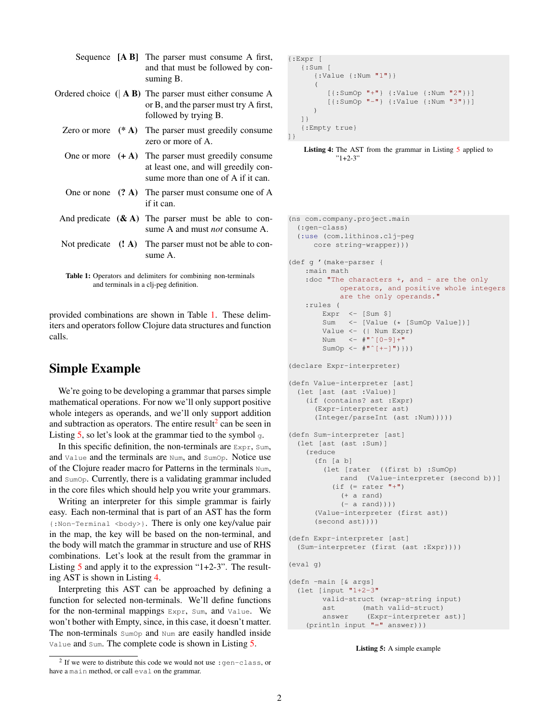|                      | Sequence $[A B]$ The parser must consume A first,<br>and that must be followed by con-<br>suming B.                                |
|----------------------|------------------------------------------------------------------------------------------------------------------------------------|
|                      | Ordered choice $( AB )$ The parser must either consume A<br>or B, and the parser must try A first,<br>followed by trying B.        |
| Zero or more $(* A)$ | The parser must greedily consume.<br>zero or more of A.                                                                            |
|                      | One or more $(+ A)$ The parser must greedily consume<br>at least one, and will greedily con-<br>sume more than one of A if it can. |
|                      | One or none $(2 \text{ A})$ The parser must consume one of A<br>if it can.                                                         |
|                      | And predicate $(\& A)$ The parser must be able to con-<br>sume A and must <i>not</i> consume A.                                    |
|                      | Not predicate $(3, 4)$ The parser must not be able to con-<br>sume A.                                                              |
|                      |                                                                                                                                    |

<span id="page-2-0"></span>Table 1: Operators and delimiters for combining non-terminals and terminals in a clj-peg definition.

provided combinations are shown in Table [1.](#page-2-0) These delimiters and operators follow Clojure data structures and function calls.

## Simple Example

We're going to be developing a grammar that parses simple mathematical operations. For now we'll only support positive whole integers as operands, and we'll only support addition and subtraction as operators. The entire result<sup>[2](#page-2-1)</sup> can be seen in Listing  $5$ , so let's look at the grammar tied to the symbol  $\sigma$ .

In this specific definition, the non-terminals are Expr, Sum, and Value and the terminals are Num, and SumOp. Notice use of the Clojure reader macro for Patterns in the terminals Num, and SumOp. Currently, there is a validating grammar included in the core files which should help you write your grammars.

Writing an interpreter for this simple grammar is fairly easy. Each non-terminal that is part of an AST has the form {:Non-Terminal <body>}. There is only one key/value pair in the map, the key will be based on the non-terminal, and the body will match the grammar in structure and use of RHS combinations. Let's look at the result from the grammar in Listing [5](#page-2-2) and apply it to the expression "1+2-3". The resulting AST is shown in Listing [4.](#page-2-3)

Interpreting this AST can be approached by defining a function for selected non-terminals. We'll define functions for the non-terminal mappings Expr, Sum, and Value. We won't bother with Empty, since, in this case, it doesn't matter. The non-terminals SumOp and Num are easily handled inside Value and Sum. The complete code is shown in Listing [5.](#page-2-2)

```
{:Expr [
   {:Sum [
      {:Value {:Num "1"}}
       (
          [{:SumOp "+"} {:Value {:Num "2"}}]
          [{'sumOp " - "} {'svalue {':Num "3"}}])
   ]}
   {:Empty true}
]}
```
<span id="page-2-2"></span>(ns com.company.project.main

Listing 4: The AST from the grammar in Listing [5](#page-2-2) applied to  $"1+2-3"$ 

```
(:gen-class)
  (:use (com.lithinos.clj-peg
     core string-wrapper)))
(def g '(make-parser {
   :main math
    : doc "The characters +, and - are the only
            operators, and positive whole integers
            are the only operands."
   :rules (
       Expr \leftarrow [Sum \]
        Sum <- [Value (* [SumOp Value])]
       Value <- (| Num Expr)
       Num \leftarrow \#" [0-9]+"
        SumOp \leftarrow \#"( | + - ]") ))
(declare Expr-interpreter)
(defn Value-interpreter [ast]
  (let [ast (ast :Value)]
    (if (contains? ast :Expr)
      (Expr-interpreter ast)
      (Integer/parseInt (ast :Num)))))
(defn Sum-interpreter [ast]
 (let [ast (ast :Sum)]
   (reduce
     (fn [a b]
        (let [rater ((first b) :SumOp)
            rand (Value-interpreter (second b))]
          (if (= rater "+")(+ a rand)
            (-a \text{ rand})))(Value-interpreter (first ast))
      (second ast))))
(defn Expr-interpreter [ast]
 (Sum-interpreter (first (ast :Expr))))
(eval g)
(defn -main [& args]
  (let [input "1+2-3"
        valid-struct (wrap-string input)
        ast (math valid-struct)
        answer (Expr-interpreter ast)]
   (println input "=" answer)))
```
Listing 5: A simple example

<span id="page-2-1"></span><sup>&</sup>lt;sup>2</sup> If we were to distribute this code we would not use : gen-class, or have a main method, or call eval on the grammar.